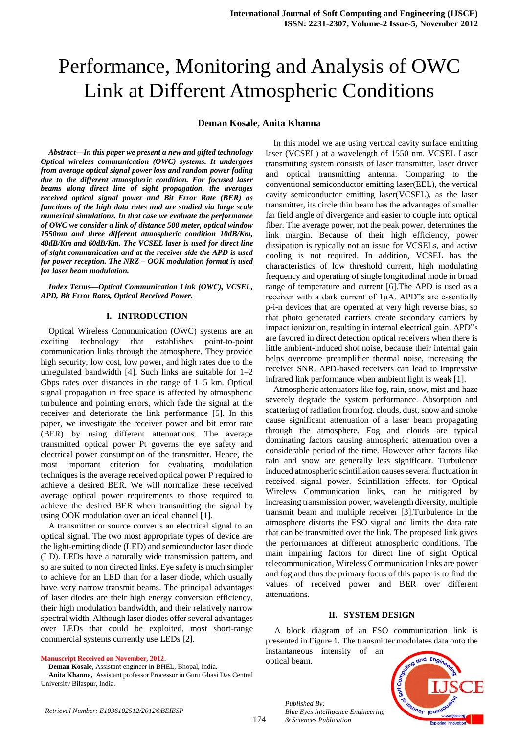# Performance, Monitoring and Analysis of OWC Link at Different Atmospheric Conditions

## **Deman Kosale, Anita Khanna**

*Abstract—In this paper we present a new and gifted technology Optical wireless communication (OWC) systems. It undergoes from average optical signal power loss and random power fading due to the different atmospheric condition. For focused laser beams along direct line of sight propagation, the averages received optical signal power and Bit Error Rate (BER) as functions of the high data rates and are studied via large scale numerical simulations. In that case we evaluate the performance of OWC we consider a link of distance 500 meter, optical window 1550nm and three different atmospheric condition 10dB/Km, 40dB/Km and 60dB/Km. The VCSEL laser is used for direct line of sight communication and at the receiver side the APD is used for power reception. The NRZ – OOK modulation format is used for laser beam modulation.* 

*Index Terms—Optical Communication Link (OWC), VCSEL, APD, Bit Error Rates, Optical Received Power.*

#### **I. INTRODUCTION**

Optical Wireless Communication (OWC) systems are an exciting technology that establishes point-to-point communication links through the atmosphere. They provide high security, low cost, low power, and high rates due to the unregulated bandwidth [4]. Such links are suitable for 1–2 Gbps rates over distances in the range of 1–5 km. Optical signal propagation in free space is affected by atmospheric turbulence and pointing errors, which fade the signal at the receiver and deteriorate the link performance [5]. In this paper, we investigate the receiver power and bit error rate (BER) by using different attenuations. The average transmitted optical power Pt governs the eye safety and electrical power consumption of the transmitter. Hence, the most important criterion for evaluating modulation techniques is the average received optical power P required to achieve a desired BER. We will normalize these received average optical power requirements to those required to achieve the desired BER when transmitting the signal by using OOK modulation over an ideal channel [1].

A transmitter or source converts an electrical signal to an optical signal. The two most appropriate types of device are the light-emitting diode (LED) and semiconductor laser diode (LD). LEDs have a naturally wide transmission pattern, and so are suited to non directed links. Eye safety is much simpler to achieve for an LED than for a laser diode, which usually have very narrow transmit beams. The principal advantages of laser diodes are their high energy conversion efficiency, their high modulation bandwidth, and their relatively narrow spectral width. Although laser diodes offer several advantages over LEDs that could be exploited, most short-range commercial systems currently use LEDs [2].

**Manuscript Received on November, 2012**.

**Deman Kosale,** Assistant engineer in BHEL, Bhopal, India.

**Anita Khanna,** Assistant professor Processor in Guru Ghasi Das Central University Bilaspur, India.

In this model we are using vertical cavity surface emitting laser (VCSEL) at a wavelength of 1550 nm. VCSEL Laser transmitting system consists of laser transmitter, laser driver and optical transmitting antenna. Comparing to the conventional semiconductor emitting laser(EEL), the vertical cavity semiconductor emitting laser(VCSEL), as the laser transmitter, its circle thin beam has the advantages of smaller far field angle of divergence and easier to couple into optical fiber. The average power, not the peak power, determines the link margin. Because of their high efficiency, power dissipation is typically not an issue for VCSELs, and active cooling is not required. In addition, VCSEL has the characteristics of low threshold current, high modulating frequency and operating of single longitudinal mode in broad range of temperature and current [6].The APD is used as a receiver with a dark current of 1μA. APD"s are essentially p-i-n devices that are operated at very high reverse bias, so that photo generated carriers create secondary carriers by impact ionization, resulting in internal electrical gain. APD"s are favored in direct detection optical receivers when there is little ambient-induced shot noise, because their internal gain helps overcome preamplifier thermal noise, increasing the receiver SNR. APD-based receivers can lead to impressive infrared link performance when ambient light is weak [1].

Atmospheric attenuators like fog, rain, snow, mist and haze severely degrade the system performance. Absorption and scattering of radiation from fog, clouds, dust, snow and smoke cause significant attenuation of a laser beam propagating through the atmosphere. Fog and clouds are typical dominating factors causing atmospheric attenuation over a considerable period of the time. However other factors like rain and snow are generally less significant. Turbulence induced atmospheric scintillation causes several fluctuation in received signal power. Scintillation effects, for Optical Wireless Communication links, can be mitigated by increasing transmission power, wavelength diversity, multiple transmit beam and multiple receiver [3].Turbulence in the atmosphere distorts the FSO signal and limits the data rate that can be transmitted over the link. The proposed link gives the performances at different atmospheric conditions. The main impairing factors for direct line of sight Optical telecommunication, Wireless Communication links are power and fog and thus the primary focus of this paper is to find the values of received power and BER over different attenuations.

#### **II. SYSTEM DESIGN**

A block diagram of an FSO communication link is presented in Figure 1. The transmitter modulates data onto the instantaneous intensity of an

optical beam.



*Published By: Blue Eyes Intelligence Engineering & Sciences Publication*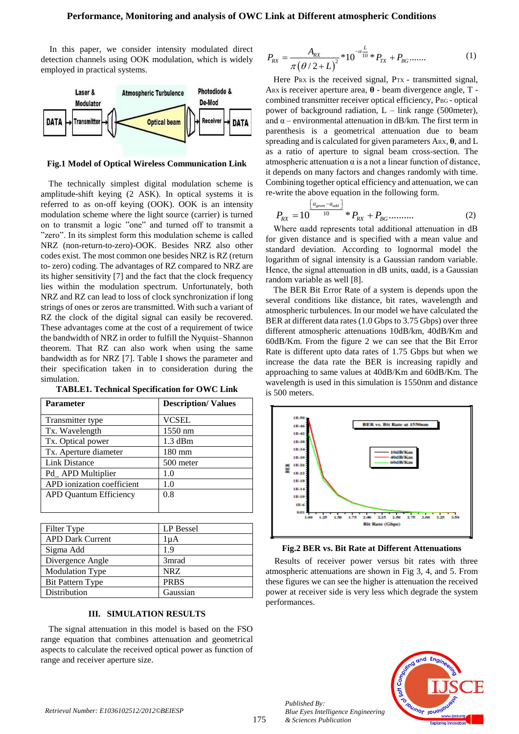In this paper, we consider intensity modulated direct detection channels using OOK modulation, which is widely employed in practical systems.



**Fig.1 Model of Optical Wireless Communication Link**

The technically simplest digital modulation scheme is amplitude-shift keying (2 ASK). In optical systems it is referred to as on-off keying (OOK). OOK is an intensity modulation scheme where the light source (carrier) is turned on to transmit a logic "one" and turned off to transmit a "zero". In its simplest form this modulation scheme is called NRZ (non-return-to-zero)-OOK. Besides NRZ also other codes exist. The most common one besides NRZ is RZ (return to- zero) coding. The advantages of RZ compared to NRZ are its higher sensitivity [7] and the fact that the clock frequency lies within the modulation spectrum. Unfortunately, both NRZ and RZ can lead to loss of clock synchronization if long strings of ones or zeros are transmitted. With such a variant of RZ the clock of the digital signal can easily be recovered. These advantages come at the cost of a requirement of twice the bandwidth of NRZ in order to fulfill the Nyquist–Shannon theorem. That RZ can also work when using the same bandwidth as for NRZ [7]. Table I shows the parameter and their specification taken in to consideration during the simulation.

| <b>Parameter</b>              | <b>Description/Values</b> |
|-------------------------------|---------------------------|
| Transmitter type              | <b>VCSEL</b>              |
| Tx. Wavelength                | 1550 nm                   |
| Tx. Optical power             | $1.3$ dBm                 |
| Tx. Aperture diameter         | $180 \text{ mm}$          |
| <b>Link Distance</b>          | 500 meter                 |
| Pd_APD Multiplier             | 1.0                       |
| APD ionization coefficient    | 1.0                       |
| <b>APD Quantum Efficiency</b> | 0.8                       |
|                               |                           |

**TABLE1. Technical Specification for OWC Link**

| <b>APD Dark Current</b><br>1µA         |
|----------------------------------------|
|                                        |
| Sigma Add<br>1.9                       |
| Divergence Angle<br>3 <sub>mrad</sub>  |
| <b>NRZ</b><br><b>Modulation Type</b>   |
| <b>PRBS</b><br><b>Bit Pattern Type</b> |
| Gaussian<br>Distribution               |

### **III. SIMULATION RESULTS**

The signal attenuation in this model is based on the FSO range equation that combines attenuation and geometrical aspects to calculate the received optical power as function of range and receiver aperture size.

$$
P_{RX} = \frac{A_{RX}}{\pi (\theta / 2 + L)^2} * 10^{-\alpha \frac{L}{10}} * P_{TX} + P_{BG} \dots \dots \tag{1}
$$

Here PRX is the received signal, PTX - transmitted signal, ARX is receiver aperture area, **θ** - beam divergence angle, T combined transmitter receiver optical efficiency, P<sub>BG</sub> - optical power of background radiation,  $L - link$  range (500meter), and  $\alpha$  – environmental attenuation in dB/km. The first term in parenthesis is a geometrical attenuation due to beam spreading and is calculated for given parameters ARX, **θ**, and L as a ratio of aperture to signal beam cross-section. The atmospheric attenuation  $\alpha$  is a not a linear function of distance, it depends on many factors and changes randomly with time. Combining together optical efficiency and attenuation, we can re-write the above equation in the following form.<br> $\begin{bmatrix} a_{geom} - a_{add} \end{bmatrix}$ 

$$
P_{RX} = 10^{\frac{[a_{geom}-a_{add}]}{10}} * P_{RX} + P_{BG} \dots \dots \dots \tag{2}
$$

Where αadd represents total additional attenuation in dB for given distance and is specified with a mean value and standard deviation. According to lognormal model the logarithm of signal intensity is a Gaussian random variable. Hence, the signal attenuation in dB units, αadd*,* is a Gaussian random variable as well [8].

The BER Bit Error Rate of a system is depends upon the several conditions like distance, bit rates, wavelength and atmospheric turbulences. In our model we have calculated the BER at different data rates (1.0 Gbps to 3.75 Gbps) over three different atmospheric attenuations 10dB/km, 40dB/Km and 60dB/Km. From the figure 2 we can see that the Bit Error Rate is different upto data rates of 1.75 Gbps but when we increase the data rate the BER is increasing rapidly and approaching to same values at 40dB/Km and 60dB/Km. The wavelength is used in this simulation is 1550nm and distance is 500 meters.



**Fig.2 BER vs. Bit Rate at Different Attenuations**

Results of receiver power versus bit rates with three atmospheric attenuations are shown in Fig 3, 4, and 5. From these figures we can see the higher is attenuation the received power at receiver side is very less which degrade the system performances.